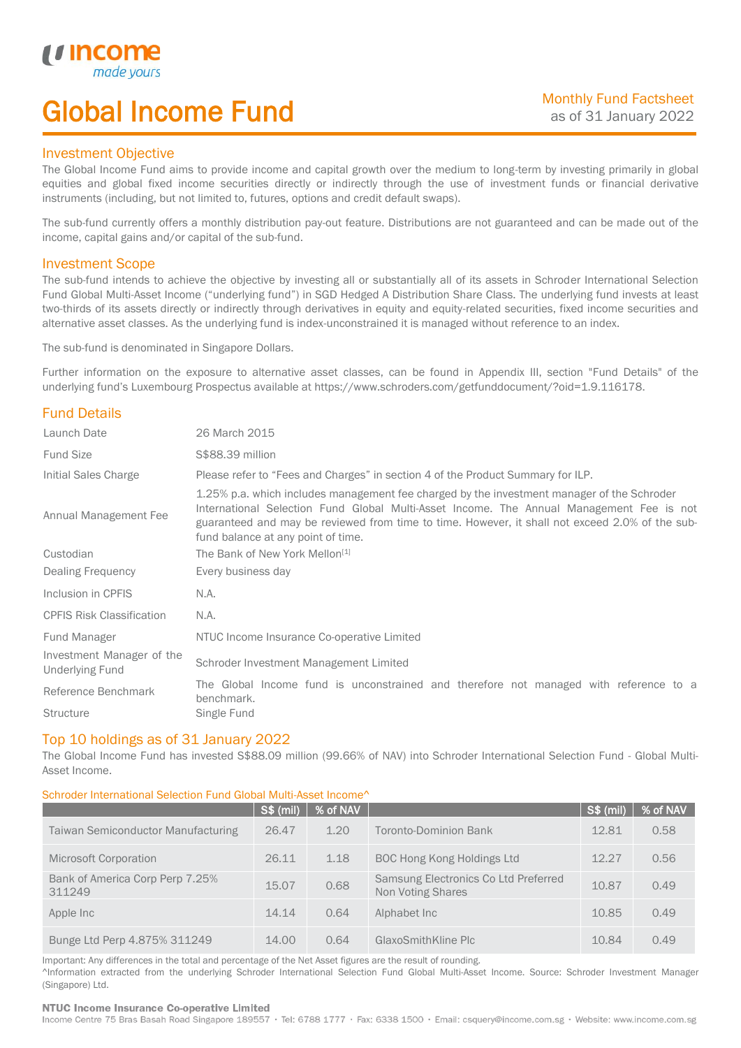# Global Income Fund

## Investment Objective

u incor

I

The Global Income Fund aims to provide income and capital growth over the medium to long-term by investing primarily in global equities and global fixed income securities directly or indirectly through the use of investment funds or financial derivative instruments (including, but not limited to, futures, options and credit default swaps).

The sub-fund currently offers a monthly distribution pay-out feature. Distributions are not guaranteed and can be made out of the income, capital gains and/or capital of the sub-fund.

## Investment Scope

The sub-fund intends to achieve the objective by investing all or substantially all of its assets in Schroder International Selection Fund Global Multi-Asset Income ("underlying fund") in SGD Hedged A Distribution Share Class. The underlying fund invests at least two-thirds of its assets directly or indirectly through derivatives in equity and equity-related securities, fixed income securities and alternative asset classes. As the underlying fund is index-unconstrained it is managed without reference to an index.

The sub-fund is denominated in Singapore Dollars.

Further information on the exposure to alternative asset classes, can be found in Appendix III, section "Fund Details" of the underlying fund's Luxembourg Prospectus available at https://www.schroders.com/getfunddocument/?oid=1.9.116178.

# Fund Details

| Launch Date                                         | 26 March 2015                                                                                                                                                                                                                                                                                                                   |  |  |  |
|-----------------------------------------------------|---------------------------------------------------------------------------------------------------------------------------------------------------------------------------------------------------------------------------------------------------------------------------------------------------------------------------------|--|--|--|
| <b>Fund Size</b>                                    | \$\$88.39 million                                                                                                                                                                                                                                                                                                               |  |  |  |
| Initial Sales Charge                                | Please refer to "Fees and Charges" in section 4 of the Product Summary for ILP.                                                                                                                                                                                                                                                 |  |  |  |
| Annual Management Fee                               | 1.25% p.a. which includes management fee charged by the investment manager of the Schroder<br>International Selection Fund Global Multi-Asset Income. The Annual Management Fee is not<br>guaranteed and may be reviewed from time to time. However, it shall not exceed 2.0% of the sub-<br>fund balance at any point of time. |  |  |  |
| Custodian                                           | The Bank of New York Mellon <sup>[1]</sup>                                                                                                                                                                                                                                                                                      |  |  |  |
| Dealing Frequency                                   | Every business day                                                                                                                                                                                                                                                                                                              |  |  |  |
| Inclusion in CPFIS                                  | N.A.                                                                                                                                                                                                                                                                                                                            |  |  |  |
| <b>CPFIS Risk Classification</b>                    | N.A.                                                                                                                                                                                                                                                                                                                            |  |  |  |
| Fund Manager                                        | NTUC Income Insurance Co-operative Limited                                                                                                                                                                                                                                                                                      |  |  |  |
| Investment Manager of the<br><b>Underlying Fund</b> | Schroder Investment Management Limited                                                                                                                                                                                                                                                                                          |  |  |  |
| Reference Benchmark                                 | The Global Income fund is unconstrained and therefore not managed with reference to a<br>benchmark.                                                                                                                                                                                                                             |  |  |  |
| <b>Structure</b>                                    | Single Fund                                                                                                                                                                                                                                                                                                                     |  |  |  |

## Top 10 holdings as of 31 January 2022

The Global Income Fund has invested S\$88.09 million (99.66% of NAV) into Schroder International Selection Fund - Global Multi-Asset Income.

### Schroder International Selection Fund Global Multi-Asset Income^

|                                           | S\$ (mil) | % of NAV |                                                           | S\$ (mil) | % of NAV |
|-------------------------------------------|-----------|----------|-----------------------------------------------------------|-----------|----------|
| <b>Taiwan Semiconductor Manufacturing</b> | 26.47     | 1.20     | Toronto-Dominion Bank                                     | 12.81     | 0.58     |
| Microsoft Corporation                     | 26.11     | 1.18     | <b>BOC Hong Kong Holdings Ltd</b>                         | 12.27     | 0.56     |
| Bank of America Corp Perp 7.25%<br>311249 | 15.07     | 0.68     | Samsung Electronics Co Ltd Preferred<br>Non Voting Shares | 10.87     | 0.49     |
| Apple Inc                                 | 14.14     | 0.64     | Alphabet Inc                                              | 10.85     | 0.49     |
| Bunge Ltd Perp 4.875% 311249              | 14.00     | 0.64     | GlaxoSmithKline Plc                                       | 10.84     | 0.49     |

Important: Any differences in the total and percentage of the Net Asset figures are the result of rounding. ^Information extracted from the underlying Schroder International Selection Fund Global Multi-Asset Income. Source: Schroder Investment Manager (Singapore) Ltd.

### NTUC Income Insurance Co-operative Limited

Income Centre 75 Bras Basah Road Singapore 189557 · Tel: 6788 1777 · Fax: 6338 1500 · Email: csquery@income.com.sg · Website: www.income.com.sg